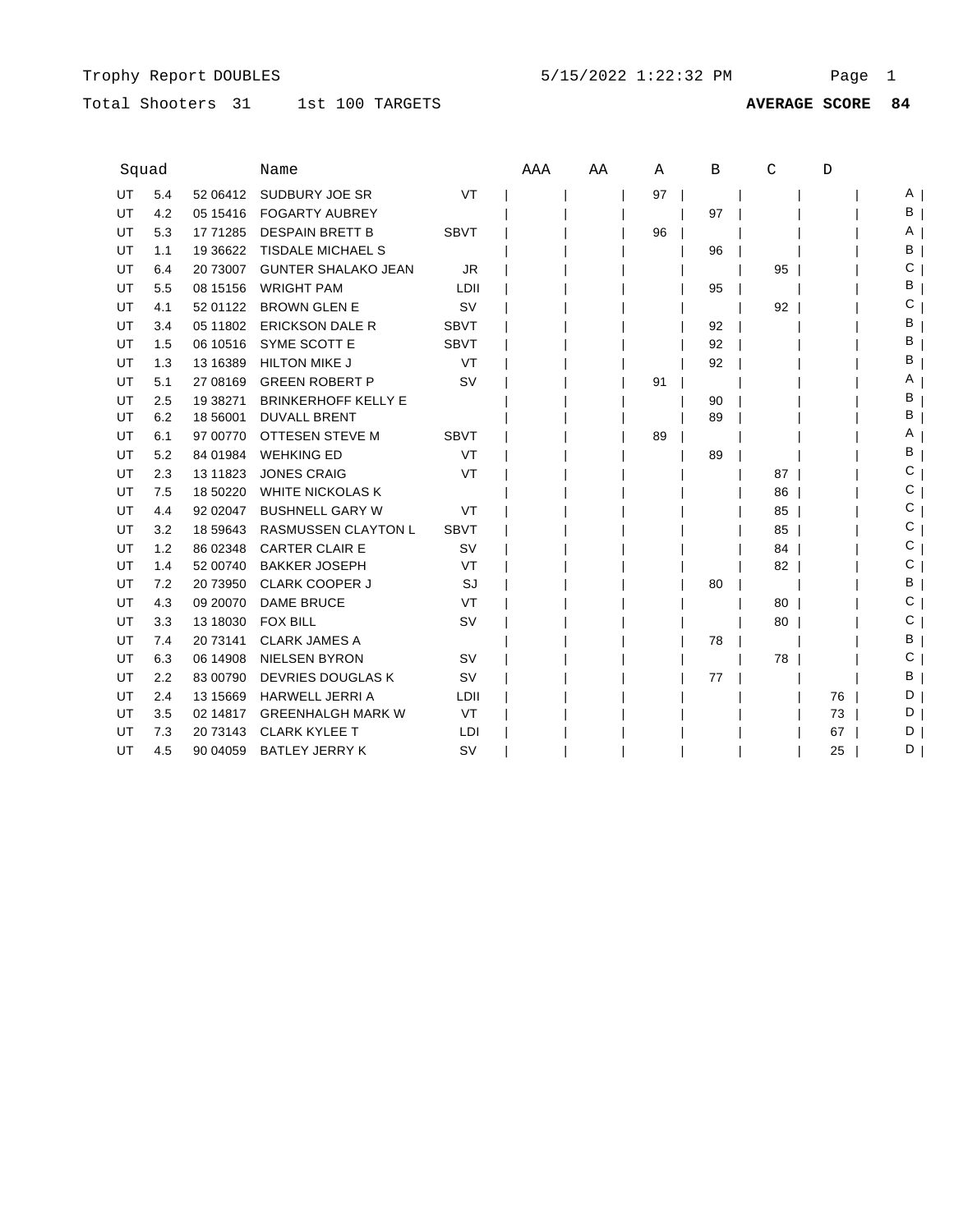### Total Shooters 31 1st 100 TARGETS

1st 100 TARGETS **AVERAGE SCORE 84**

| Squad |     |            | Name                       |             | AAA | AA | Α  | В  | C  | D  |     |
|-------|-----|------------|----------------------------|-------------|-----|----|----|----|----|----|-----|
| UT    | 5.4 | 52 06412   | SUDBURY JOE SR             | VT          |     |    | 97 |    |    |    | A I |
| UT    | 4.2 | 05 15416   | <b>FOGARTY AUBREY</b>      |             |     |    |    | 97 |    |    | B   |
| UT    | 5.3 | 17 71285   | <b>DESPAIN BRETT B</b>     | <b>SBVT</b> |     |    | 96 |    |    |    | A   |
| UT    | 1.1 | 19 3 66 22 | TISDALE MICHAEL S          |             |     |    |    | 96 |    |    | В   |
| UT    | 6.4 | 20 73007   | <b>GUNTER SHALAKO JEAN</b> | JR.         |     |    |    |    | 95 |    | С   |
| UT    | 5.5 | 08 15156   | <b>WRIGHT PAM</b>          | LDII        |     |    |    | 95 |    |    | в   |
| UT    | 4.1 | 52 01122   | <b>BROWN GLEN E</b>        | <b>SV</b>   |     |    |    |    | 92 |    | С   |
| UT    | 3.4 | 05 11802   | <b>ERICKSON DALE R</b>     | <b>SBVT</b> |     |    |    | 92 |    |    | в   |
| UT    | 1.5 | 06 10516   | SYME SCOTT E               | <b>SBVT</b> |     |    |    | 92 |    |    | в   |
| UT    | 1.3 | 13 16 389  | <b>HILTON MIKE J</b>       | VT          |     |    |    | 92 |    |    | в   |
| UT    | 5.1 | 27 08 169  | <b>GREEN ROBERT P</b>      | <b>SV</b>   |     |    | 91 |    |    |    | Α   |
| UT    | 2.5 | 19 38271   | <b>BRINKERHOFF KELLY E</b> |             |     |    |    | 90 |    |    | в   |
| UT    | 6.2 | 18 56001   | <b>DUVALL BRENT</b>        |             |     |    |    | 89 |    |    | в   |
| UT    | 6.1 | 97 00770   | OTTESEN STEVE M            | <b>SBVT</b> |     |    | 89 |    |    |    | Α   |
| UT    | 5.2 | 84 01984   | <b>WEHKING ED</b>          | VT          |     |    |    | 89 |    |    | в   |
| UT    | 2.3 | 13 11 8 23 | <b>JONES CRAIG</b>         | VT          |     |    |    |    | 87 |    | С   |
| UT    | 7.5 | 18 50220   | <b>WHITE NICKOLAS K</b>    |             |     |    |    |    | 86 |    | С   |
| UT    | 4.4 | 92 02047   | <b>BUSHNELL GARY W</b>     | VT          |     |    |    |    | 85 |    | С   |
| UT    | 3.2 | 18 59 643  | <b>RASMUSSEN CLAYTON L</b> | <b>SBVT</b> |     |    |    |    | 85 |    | С   |
| UT    | 1.2 | 86 02348   | <b>CARTER CLAIR E</b>      | <b>SV</b>   |     |    |    |    | 84 |    | С   |
| UT    | 1.4 | 52 00740   | <b>BAKKER JOSEPH</b>       | VT          |     |    |    |    | 82 |    | С   |
| UT    | 7.2 | 20 73950   | <b>CLARK COOPER J</b>      | SJ          |     |    |    | 80 |    |    | В   |
| UT    | 4.3 | 09 20070   | <b>DAME BRUCE</b>          | VT          |     |    |    |    | 80 |    | С   |
| UT    | 3.3 | 13 18030   | <b>FOX BILL</b>            | <b>SV</b>   |     |    |    |    | 80 |    | С   |
| UT    | 7.4 | 20 73141   | <b>CLARK JAMES A</b>       |             |     |    |    | 78 |    |    | в   |
| UT    | 6.3 | 06 14908   | <b>NIELSEN BYRON</b>       | <b>SV</b>   |     |    |    |    | 78 |    | С   |
| UT    | 2.2 | 83 00790   | <b>DEVRIES DOUGLAS K</b>   | <b>SV</b>   |     |    |    | 77 |    |    | в   |
| UT    | 2.4 | 13 15 669  | <b>HARWELL JERRI A</b>     | LDII        |     |    |    |    |    | 76 | D   |
| UT    | 3.5 | 02 14817   | <b>GREENHALGH MARK W</b>   | VT          |     |    |    |    |    | 73 | D   |
| UT    | 7.3 | 20 73143   | <b>CLARK KYLEE T</b>       | LDI         |     |    |    |    |    | 67 | D   |
| UT    | 4.5 | 90 04 059  | <b>BATLEY JERRY K</b>      | <b>SV</b>   |     |    |    |    |    | 25 | D   |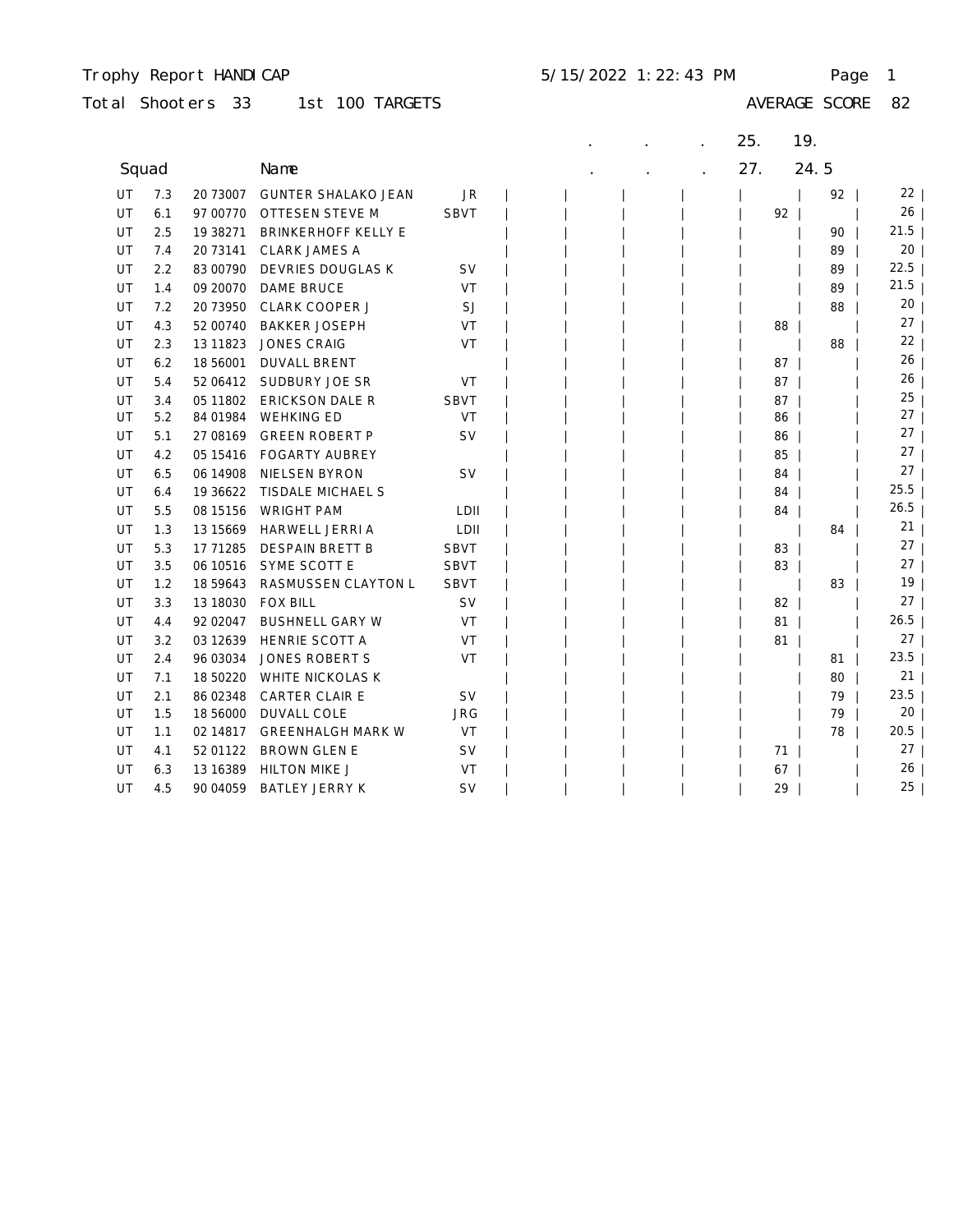#### Trophy Report HANDICAP 5/15/2022 1:22:43 PM Page 1

| Total Shooters 33 |  |  | 1st 100 TARGETS |
|-------------------|--|--|-----------------|
|-------------------|--|--|-----------------|

|           |     |           |                            |             |  |  | 25. | 19.  |                 |
|-----------|-----|-----------|----------------------------|-------------|--|--|-----|------|-----------------|
| Squad     |     |           | Name                       |             |  |  | 27. | 24.5 |                 |
| UT        | 7.3 | 20 73007  | <b>GUNTER SHALAKO JEAN</b> | JR          |  |  |     | 92   | 22              |
| UT        | 6.1 | 97 00770  | OTTESEN STEVE M            | <b>SBVT</b> |  |  |     | 92   | 26              |
| UT        | 2.5 | 19 38271  | <b>BRINKERHOFF KELLY E</b> |             |  |  |     | 90   | 21.5            |
| UT        | 7.4 | 20 73141  | <b>CLARK JAMES A</b>       |             |  |  |     | 89   | 20              |
| UT        | 2.2 | 83 00790  | DEVRIES DOUGLAS K          | <b>SV</b>   |  |  |     | 89   | 22.5            |
| UT        | 1.4 | 09 20070  | DAME BRUCE                 | <b>VT</b>   |  |  |     | 89   | 21.5            |
| UT        | 7.2 | 20 73950  | <b>CLARK COOPER J</b>      | <b>SJ</b>   |  |  |     | 88   | 20              |
| UT        | 4.3 | 52 00740  | <b>BAKKER JOSEPH</b>       | VT          |  |  |     | 88   | 27              |
| UT        | 2.3 | 13 11 823 | <b>JONES CRAIG</b>         | VT          |  |  |     | 88   | 22              |
| UT        | 6.2 | 18 56001  | <b>DUVALL BRENT</b>        |             |  |  |     | 87   | 26              |
| UT        | 5.4 | 52 06412  | SUDBURY JOE SR             | VT          |  |  |     | 87   | 26              |
| UT        | 3.4 | 05 11802  | <b>ERICKSON DALE R</b>     | <b>SBVT</b> |  |  |     | 87   | 25              |
| UT        | 5.2 | 84 01984  | <b>WEHKING ED</b>          | <b>VT</b>   |  |  |     | 86   | 27              |
| UT        | 5.1 | 27 08 169 | <b>GREEN ROBERT P</b>      | <b>SV</b>   |  |  |     | 86   | 27              |
| UT        | 4.2 | 05 15416  | <b>FOGARTY AUBREY</b>      |             |  |  |     | 85   | 27              |
| UT        | 6.5 | 06 14908  | <b>NIELSEN BYRON</b>       | <b>SV</b>   |  |  |     | 84   | 27              |
| UT        | 6.4 | 19 36 622 | TISDALE MICHAEL S          |             |  |  |     | 84   | 25.5            |
| UT        | 5.5 | 08 15156  | <b>WRIGHT PAM</b>          | LDII        |  |  |     | 84   | 26.5            |
| <b>UT</b> | 1.3 | 13 15 669 | HARWELL JERRI A            | LDII        |  |  |     | 84   | 21 <sub>1</sub> |
| UT        | 5.3 | 17 71285  | <b>DESPAIN BRETT B</b>     | <b>SBVT</b> |  |  |     | 83   | 27              |
| UT        | 3.5 | 06 10516  | SYME SCOTT E               | <b>SBVT</b> |  |  |     | 83   | 27 <sub>1</sub> |
| UT        | 1.2 | 18 59643  | RASMUSSEN CLAYTON L        | <b>SBVT</b> |  |  |     | 83   | 19              |
| UT        | 3.3 | 13 18030  | <b>FOX BILL</b>            | <b>SV</b>   |  |  |     | 82   | 27 <sub>1</sub> |
| UT        | 4.4 | 92 02047  | <b>BUSHNELL GARY W</b>     | VT          |  |  |     | 81   | 26.5            |
| UT        | 3.2 | 03 12639  | HENRIE SCOTT A             | VT          |  |  |     | 81   | 27 <sub>1</sub> |
| UT        | 2.4 | 96 03034  | JONES ROBERT S             | <b>VT</b>   |  |  |     | 81   | 23.5            |
| UT        | 7.1 | 18 50220  | <b>WHITE NICKOLAS K</b>    |             |  |  |     | 80   | 21              |
| UT        | 2.1 | 86 02348  | <b>CARTER CLAIR E</b>      | <b>SV</b>   |  |  |     | 79   | 23.5            |
| UT        | 1.5 | 18 56000  | DUVALL COLE                | <b>JRG</b>  |  |  |     | 79   | 20 <sub>1</sub> |
| UT        | 1.1 | 02 14817  | <b>GREENHALGH MARK W</b>   | VT          |  |  |     | 78   | 20.5            |
| UT        | 4.1 | 52 01122  | <b>BROWN GLEN E</b>        | <b>SV</b>   |  |  |     | 71   | 27 <sub>1</sub> |
| UT        | 6.3 | 13 16 389 | <b>HILTON MIKE J</b>       | VT          |  |  |     | 67   | 26 <sup>1</sup> |
| UT        | 4.5 | 90 04 059 | <b>BATLEY JERRY K</b>      | <b>SV</b>   |  |  |     | 29   | 25              |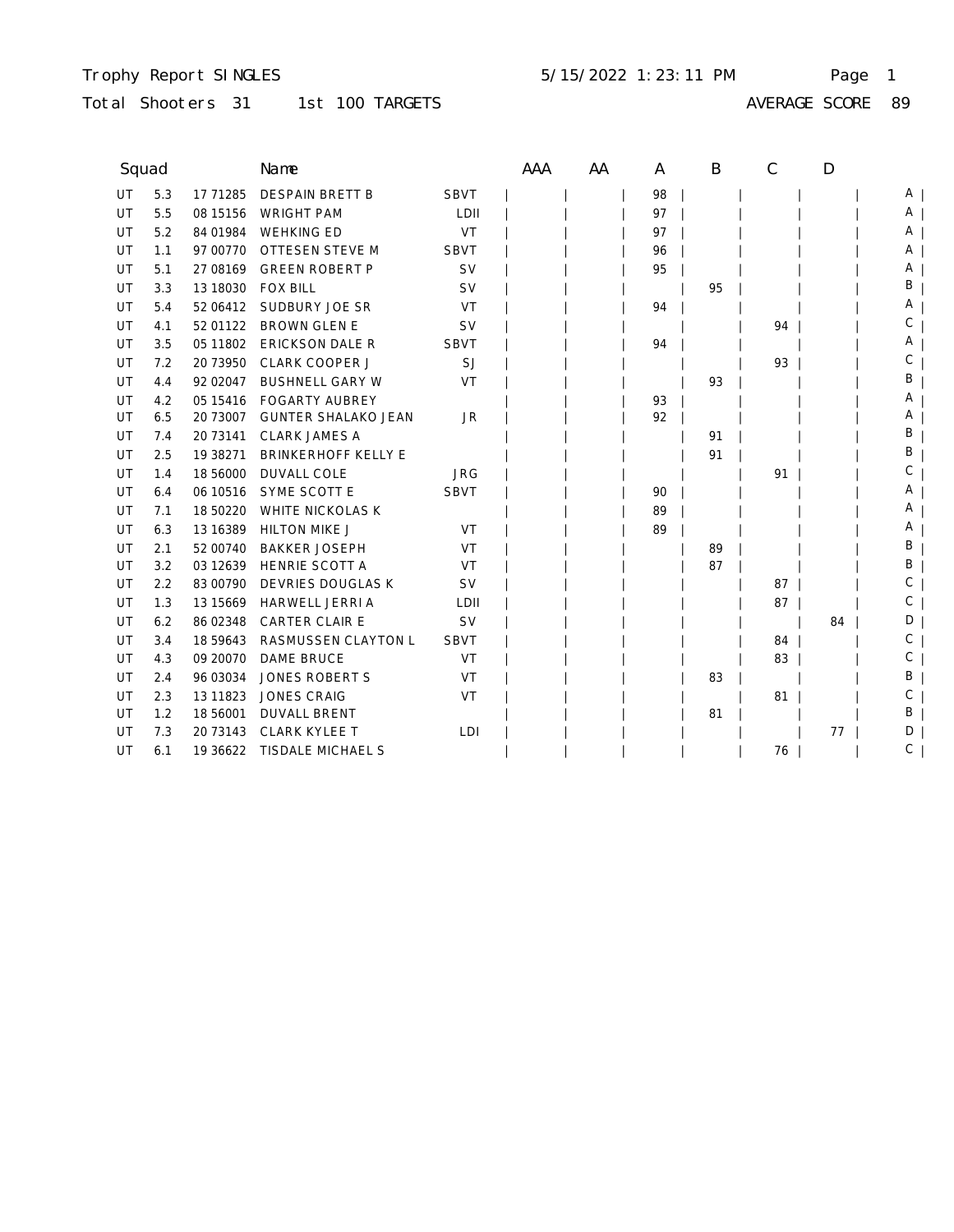#### Trophy Report SINGLES Page 1 5/15/2022 1:23:11 PM

### Total Shooters 31 1st 100 TARGETS

| , ,<br>гъ |  |
|-----------|--|

| Squad |     |            | Name                       |             | AAA | AA | A  | B  | C  | D  |    |
|-------|-----|------------|----------------------------|-------------|-----|----|----|----|----|----|----|
| UT    | 5.3 | 17 71285   | <b>DESPAIN BRETT B</b>     | <b>SBVT</b> |     |    | 98 |    |    |    | A  |
| UT    | 5.5 | 08 15 15 6 | <b>WRIGHT PAM</b>          | LDII        |     |    | 97 |    |    |    | ΑI |
| UT    | 5.2 | 84 01984   | <b>WEHKING ED</b>          | VT          |     |    | 97 |    |    |    | A  |
| UT    | 1.1 | 97 00770   | OTTESEN STEVE M            | <b>SBVT</b> |     |    | 96 |    |    |    | A  |
| UT    | 5.1 | 27 08 169  | <b>GREEN ROBERT P</b>      | <b>SV</b>   |     |    | 95 |    |    |    | Α  |
| UT    | 3.3 | 13 18030   | <b>FOX BILL</b>            | <b>SV</b>   |     |    |    | 95 |    |    | B  |
| UT    | 5.4 | 52 06412   | SUDBURY JOE SR             | VT          |     |    | 94 |    |    |    | A  |
| UT    | 4.1 | 52 01122   | <b>BROWN GLEN E</b>        | <b>SV</b>   |     |    |    |    | 94 |    | С  |
| UT    | 3.5 | 05 11802   | <b>ERICKSON DALE R</b>     | <b>SBVT</b> |     |    | 94 |    |    |    | A  |
| UT    | 7.2 | 20 73950   | CLARK COOPER J             | SJ          |     |    |    |    | 93 |    | С  |
| UT    | 4.4 | 92 02047   | <b>BUSHNELL GARY W</b>     | VT          |     |    |    | 93 |    |    | B  |
| UT    | 4.2 | 05 15416   | <b>FOGARTY AUBREY</b>      |             |     |    | 93 |    |    |    | Α  |
| UT    | 6.5 | 20 73007   | <b>GUNTER SHALAKO JEAN</b> | <b>JR</b>   |     |    | 92 |    |    |    | A  |
| UT    | 7.4 | 20 73141   | <b>CLARK JAMES A</b>       |             |     |    |    | 91 |    |    | В  |
| UT    | 2.5 | 19 38271   | <b>BRINKERHOFF KELLY E</b> |             |     |    |    | 91 |    |    | В  |
| UT    | 1.4 | 18 56000   | <b>DUVALL COLE</b>         | <b>JRG</b>  |     |    |    |    | 91 |    | С  |
| UT    | 6.4 | 06 10516   | SYME SCOTT E               | <b>SBVT</b> |     |    | 90 |    |    |    | Α  |
| UT    | 7.1 | 18 50220   | <b>WHITE NICKOLAS K</b>    |             |     |    | 89 |    |    |    | Α  |
| UT    | 6.3 | 13 16 389  | <b>HILTON MIKE J</b>       | VT          |     |    | 89 |    |    |    | Α  |
| UT    | 2.1 | 52 00740   | <b>BAKKER JOSEPH</b>       | VT          |     |    |    | 89 |    |    | В  |
| UT    | 3.2 | 03 12639   | HENRIE SCOTT A             | VT          |     |    |    | 87 |    |    | В  |
| UT    | 2.2 | 83 00790   | DEVRIES DOUGLAS K          | <b>SV</b>   |     |    |    |    | 87 |    | С  |
| UT    | 1.3 | 13 15 669  | HARWELL JERRI A            | LDII        |     |    |    |    | 87 |    | С  |
| UT    | 6.2 | 86 02348   | CARTER CLAIR E             | <b>SV</b>   |     |    |    |    |    | 84 | D  |
| UT    | 3.4 | 18 59 643  | RASMUSSEN CLAYTON L        | <b>SBVT</b> |     |    |    |    | 84 |    | С  |
| UT    | 4.3 | 09 20070   | <b>DAME BRUCE</b>          | VT          |     |    |    |    | 83 |    | C  |
| UT    | 2.4 | 96 03034   | <b>JONES ROBERT S</b>      | VT          |     |    |    | 83 |    |    | Β  |
| UT    | 2.3 | 13 11 8 23 | <b>JONES CRAIG</b>         | VT          |     |    |    |    | 81 |    | С  |
| UT    | 1.2 | 18 56001   | <b>DUVALL BRENT</b>        |             |     |    |    | 81 |    |    | Β  |
| UT    | 7.3 | 20 73143   | <b>CLARK KYLEE T</b>       | LDI         |     |    |    |    |    | 77 | D  |
| UT    | 6.1 | 19 36622   | TISDALE MICHAEL S          |             |     |    |    |    | 76 |    | С  |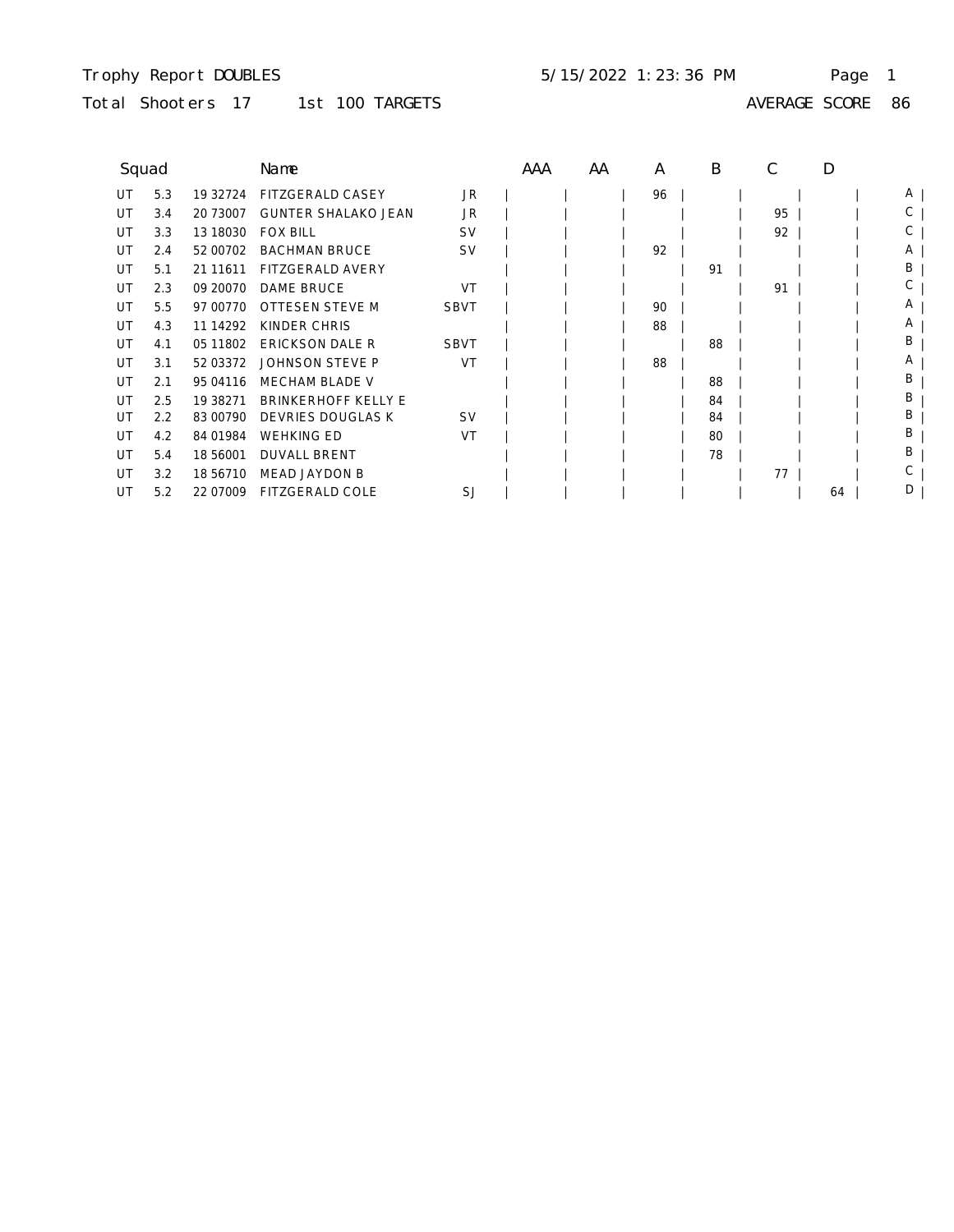### Trophy Report DOUBLES Page 1 5/15/2022 1:23:36 PM

# Total Shooters 17 1st 100 TARGETS

| ∍<br>,<br>. .<br>. . |  |
|----------------------|--|

| Squad |     |            | Name                       |             | AAA | AA | A  | B  |    | D  |   |
|-------|-----|------------|----------------------------|-------------|-----|----|----|----|----|----|---|
| UT    | 5.3 | 19 32724   | <b>FITZGERALD CASEY</b>    | JR.         |     |    | 96 |    |    |    | A |
| UT    | 3.4 | 20 73007   | <b>GUNTER SHALAKO JEAN</b> | JR          |     |    |    |    | 95 |    | С |
| UT    | 3.3 | 13 18030   | <b>FOX BILL</b>            | <b>SV</b>   |     |    |    |    | 92 |    | С |
| UT    | 2.4 | 52 00702   | <b>BACHMAN BRUCE</b>       | <b>SV</b>   |     |    | 92 |    |    |    | Α |
| UT    | 5.1 | 21 11 611  | <b>FITZGERALD AVERY</b>    |             |     |    |    | 91 |    |    | В |
| UT    | 2.3 | 09 20070   | <b>DAME BRUCE</b>          | VT          |     |    |    |    | 91 |    | С |
| UT    | 5.5 | 97 00770   | <b>OTTESEN STEVE M</b>     | <b>SBVT</b> |     |    | 90 |    |    |    | Α |
| UT    | 4.3 | 11 14 29 2 | KINDER CHRIS               |             |     |    | 88 |    |    |    | A |
| UT    | 4.1 | 05 11802   | <b>ERICKSON DALE R</b>     | <b>SBVT</b> |     |    |    | 88 |    |    | B |
| UT    | 3.1 | 52 03372   | <b>JOHNSON STEVE P</b>     | VT          |     |    | 88 |    |    |    | Α |
| UT    | 2.1 | 95 04116   | <b>MECHAM BLADE V</b>      |             |     |    |    | 88 |    |    | B |
| UT    | 2.5 | 19 38271   | <b>BRINKERHOFF KELLY E</b> |             |     |    |    | 84 |    |    | B |
| UT    | 2.2 | 83 00790   | <b>DEVRIES DOUGLAS K</b>   | <b>SV</b>   |     |    |    | 84 |    |    | B |
| UT    | 4.2 | 84 01984   | <b>WEHKING ED</b>          | VT          |     |    |    | 80 |    |    | B |
| UT    | 5.4 | 18 56001   | <b>DUVALL BRENT</b>        |             |     |    |    | 78 |    |    | B |
| UT    | 3.2 | 18 56710   | <b>MEAD JAYDON B</b>       |             |     |    |    |    | 77 |    |   |
| UT    | 5.2 | 22 07009   | FITZGERALD COLE            | SJ          |     |    |    |    |    | 64 | D |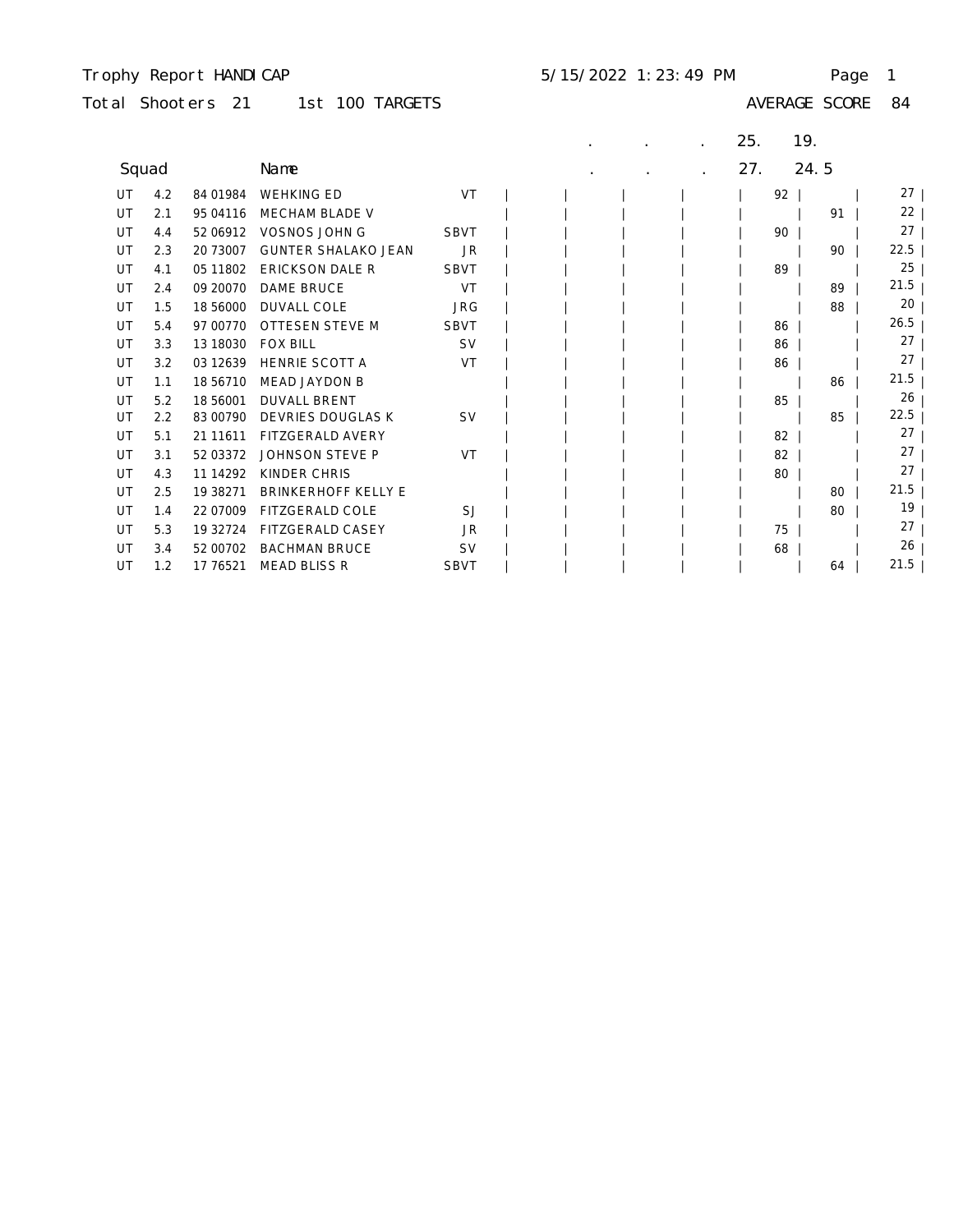### Trophy Report HANDICAP 5/15/2022 1:23:49 PM Page 1

# Total Shooters 21 1st 100 TARGETS

|       |     |            |                            |             |  |  | 25. | 19.  |           |
|-------|-----|------------|----------------------------|-------------|--|--|-----|------|-----------|
| Squad |     |            | Name                       |             |  |  | 27. | 24.5 |           |
| UT    | 4.2 | 84 01984   | <b>WEHKING ED</b>          | <b>VT</b>   |  |  | 92  |      | $27 \mid$ |
| UT    | 2.1 | 95 04116   | <b>MECHAM BLADE V</b>      |             |  |  |     | 91   | 22        |
| UT    | 4.4 | 52 06912   | VOSNOS JOHN G              | <b>SBVT</b> |  |  | 90  |      | 27        |
| UT    | 2.3 | 20 73007   | <b>GUNTER SHALAKO JEAN</b> | <b>JR</b>   |  |  |     | 90   | 22.5      |
| UT    | 4.1 | 05 11802   | <b>ERICKSON DALE R</b>     | <b>SBVT</b> |  |  | 89  |      | 25        |
| UT    | 2.4 | 09 20070   | <b>DAME BRUCE</b>          | VT          |  |  |     | 89   | 21.5      |
| UT    | 1.5 | 18 56000   | <b>DUVALL COLE</b>         | <b>JRG</b>  |  |  |     | 88   | 20        |
| UT    | 5.4 | 97 00770   | OTTESEN STEVE M            | <b>SBVT</b> |  |  | 86  |      | 26.5      |
| UT    | 3.3 | 13 18030   | <b>FOX BILL</b>            | <b>SV</b>   |  |  | 86  |      | 27        |
| UT    | 3.2 | 03 12639   | <b>HENRIE SCOTT A</b>      | VT          |  |  | 86  |      | 27        |
| UT    | 1.1 | 18 56710   | <b>MEAD JAYDON B</b>       |             |  |  |     | 86   | 21.5      |
| UT    | 5.2 | 18 56001   | <b>DUVALL BRENT</b>        |             |  |  | 85  |      | 26        |
| UT    | 2.2 | 83 00790   | <b>DEVRIES DOUGLAS K</b>   | <b>SV</b>   |  |  |     | 85   | 22.5      |
| UT    | 5.1 | 21 11 611  | <b>FITZGERALD AVERY</b>    |             |  |  | 82  |      | 27        |
| UT    | 3.1 | 52 03372   | <b>JOHNSON STEVE P</b>     | VT          |  |  | 82  |      | 27        |
| UT    | 4.3 | 11 14 29 2 | KINDER CHRIS               |             |  |  | 80  |      | 27        |
| UT    | 2.5 | 19 38271   | <b>BRINKERHOFF KELLY E</b> |             |  |  |     | 80   | 21.5      |
| UT    | 1.4 | 22 07009   | <b>FITZGERALD COLE</b>     | SJ          |  |  |     | 80   | 19        |
| UT    | 5.3 | 19 32724   | <b>FITZGERALD CASEY</b>    | <b>JR</b>   |  |  | 75  |      | 27        |
| UT    | 3.4 | 52 00702   | <b>BACHMAN BRUCE</b>       | <b>SV</b>   |  |  | 68  |      | 26        |
| UT    | 1.2 | 17 76521   | <b>MEAD BLISS R</b>        | <b>SBVT</b> |  |  |     | 64   | 21.5      |